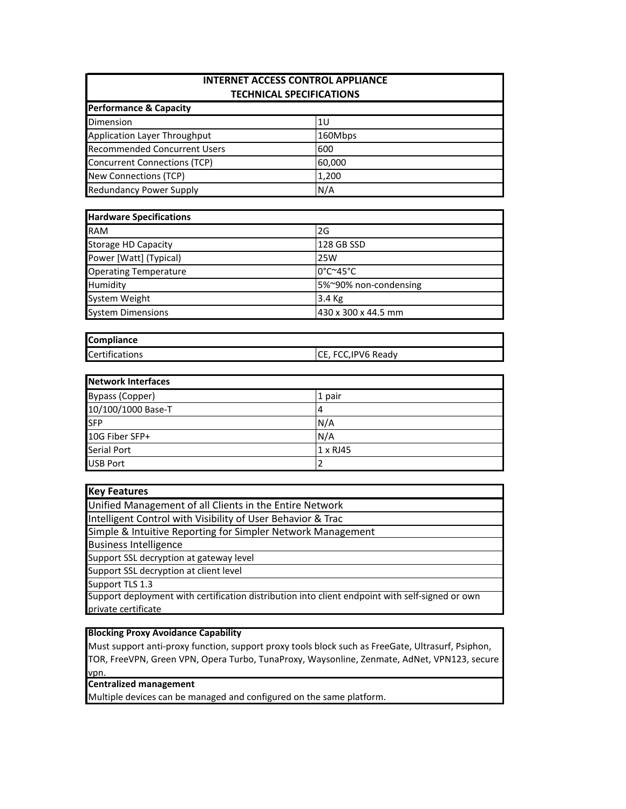| <b>INTERNET ACCESS CONTROL APPLIANCE</b><br><b>TECHNICAL SPECIFICATIONS</b> |         |  |  |
|-----------------------------------------------------------------------------|---------|--|--|
|                                                                             |         |  |  |
| Dimension                                                                   | 1U      |  |  |
| Application Layer Throughput                                                | 160Mbps |  |  |
| <b>Recommended Concurrent Users</b>                                         | 600     |  |  |
| Concurrent Connections (TCP)                                                | 60,000  |  |  |
| <b>New Connections (TCP)</b>                                                | 1,200   |  |  |
| <b>Redundancy Power Supply</b>                                              | N/A     |  |  |

| <b>Hardware Specifications</b> |                                         |  |
|--------------------------------|-----------------------------------------|--|
| <b>RAM</b>                     | 2G                                      |  |
| <b>Storage HD Capacity</b>     | 128 GB SSD                              |  |
| Power [Watt] (Typical)         | 25W                                     |  |
| <b>Operating Temperature</b>   | $0^{\circ}$ C $^{\sim}$ 45 $^{\circ}$ C |  |
| Humidity                       | 5%~90% non-condensing                   |  |
| System Weight                  | 3.4 Kg                                  |  |
| <b>System Dimensions</b>       | 430 x 300 x 44.5 mm                     |  |

| <b>Compliance</b> |                     |
|-------------------|---------------------|
| Certifications    | CE, FCC, IPV6 Ready |

| <b>Network Interfaces</b> |          |
|---------------------------|----------|
| <b>Bypass (Copper)</b>    | 1 pair   |
| 10/100/1000 Base-T        | 14       |
| <b>SFP</b>                | N/A      |
| 10G Fiber SFP+            | N/A      |
| <b>Serial Port</b>        | 1 x RJ45 |
| <b>USB Port</b>           |          |

| <b>Key Features</b>                                                                             |
|-------------------------------------------------------------------------------------------------|
| Unified Management of all Clients in the Entire Network                                         |
| Intelligent Control with Visibility of User Behavior & Trac                                     |
| Simple & Intuitive Reporting for Simpler Network Management                                     |
| <b>Business Intelligence</b>                                                                    |
| Support SSL decryption at gateway level                                                         |
| Support SSL decryption at client level                                                          |
| Support TLS 1.3                                                                                 |
| Support deployment with certification distribution into client endpoint with self-signed or own |

Support deployment with certification distribution into client endpoint with self-signed or own private certificate

# **Blocking Proxy Avoidance Capability**

Must support anti-proxy function, support proxy tools block such as FreeGate, Ultrasurf, Psiphon, TOR, FreeVPN, Green VPN, Opera Turbo, TunaProxy, Waysonline, Zenmate, AdNet, VPN123, secure vpn.

**Centralized management**

Multiple devices can be managed and configured on the same platform.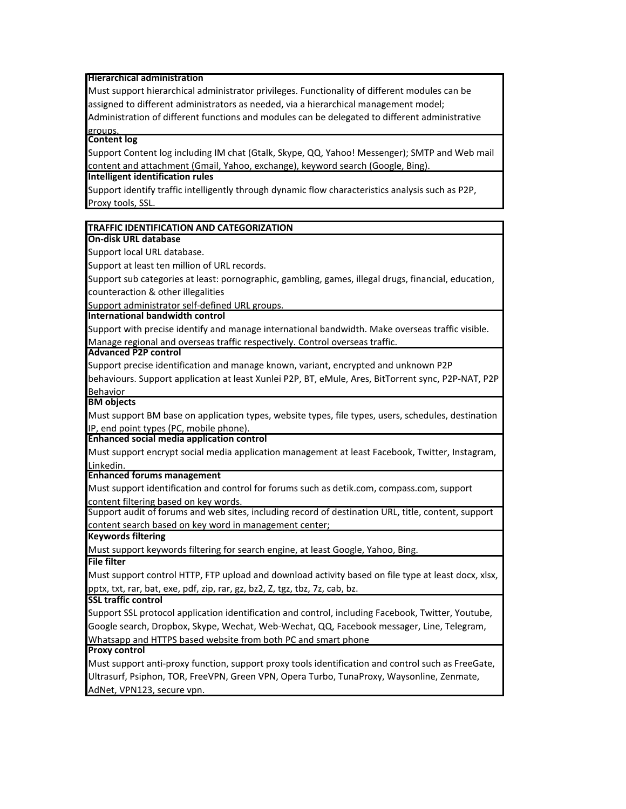#### **Hierarchical administration**

Must support hierarchical administrator privileges. Functionality of different modules can be assigned to different administrators as needed, via a hierarchical management model;

Administration of different functions and modules can be delegated to different administrative groups.

#### **Content log**

Support Content log including IM chat (Gtalk, Skype, QQ, Yahoo! Messenger); SMTP and Web mail content and attachment (Gmail, Yahoo, exchange), keyword search (Google, Bing).

#### **Intelligent identification rules**

Support identify traffic intelligently through dynamic flow characteristics analysis such as P2P, Proxy tools, SSL.

#### **TRAFFIC IDENTIFICATION AND CATEGORIZATION**

#### **On-disk URL database**

Support local URL database.

Support at least ten million of URL records.

Support sub categories at least: pornographic, gambling, games, illegal drugs, financial, education, counteraction & other illegalities

Support administrator self-defined URL groups.

**International bandwidth control**

Support with precise identify and manage international bandwidth. Make overseas traffic visible. Manage regional and overseas traffic respectively. Control overseas traffic.

#### **Advanced P2P control**

Support precise identification and manage known, variant, encrypted and unknown P2P behaviours. Support application at least Xunlei P2P, BT, eMule, Ares, BitTorrent sync, P2P-NAT, P2P Behavior

**BM objects**

Must support BM base on application types, website types, file types, users, schedules, destination IP, end point types (PC, mobile phone).

**Enhanced social media application control**

Must support encrypt social media application management at least Facebook, Twitter, Instagram, Linkedin.

**Enhanced forums management**

Must support identification and control for forums such as detik.com, compass.com, support content filtering based on key words.

Support audit of forums and web sites, including record of destination URL, title, content, support content search based on key word in management center;

**Keywords filtering**

Must support keywords filtering for search engine, at least Google, Yahoo, Bing.

**File filter**

Must support control HTTP, FTP upload and download activity based on file type at least docx, xlsx, pptx, txt, rar, bat, exe, pdf, zip, rar, gz, bz2, Z, tgz, tbz, 7z, cab, bz.

**SSL traffic control**

Support SSL protocol application identification and control, including Facebook, Twitter, Youtube, Google search, Dropbox, Skype, Wechat, Web-Wechat, QQ, Facebook messager, Line, Telegram, Whatsapp and HTTPS based website from both PC and smart phone

**Proxy control**

Must support anti-proxy function, support proxy tools identification and control such as FreeGate, Ultrasurf, Psiphon, TOR, FreeVPN, Green VPN, Opera Turbo, TunaProxy, Waysonline, Zenmate, AdNet, VPN123, secure vpn.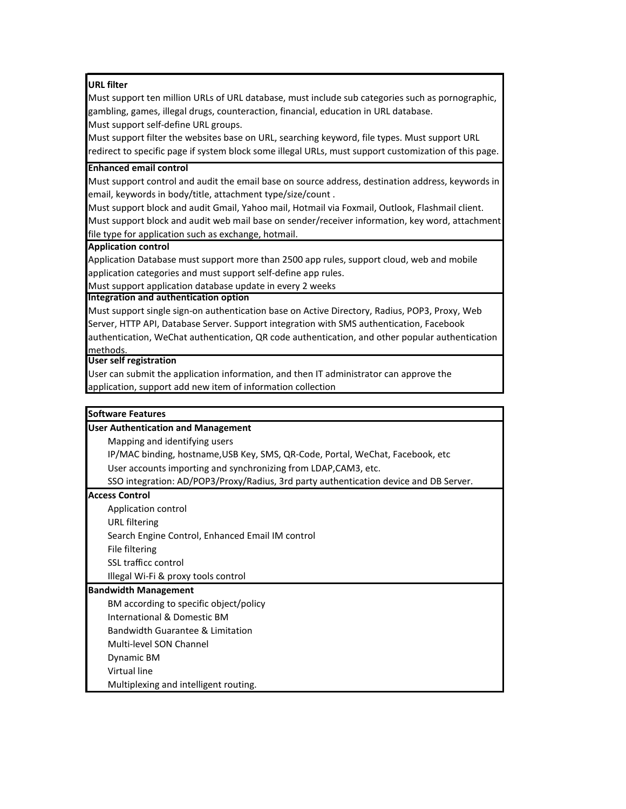## **URL filter**

Must support ten million URLs of URL database, must include sub categories such as pornographic, gambling, games, illegal drugs, counteraction, financial, education in URL database. Must support self-define URL groups.

Must support filter the websites base on URL, searching keyword, file types. Must support URL redirect to specific page if system block some illegal URLs, must support customization of this page.

### **Enhanced email control**

Must support control and audit the email base on source address, destination address, keywords in email, keywords in body/title, attachment type/size/count .

Must support block and audit Gmail, Yahoo mail, Hotmail via Foxmail, Outlook, Flashmail client. Must support block and audit web mail base on sender/receiver information, key word, attachment file type for application such as exchange, hotmail.

## **Application control**

Application Database must support more than 2500 app rules, support cloud, web and mobile application categories and must support self-define app rules.

Must support application database update in every 2 weeks

## **Integration and authentication option**

Must support single sign-on authentication base on Active Directory, Radius, POP3, Proxy, Web Server, HTTP API, Database Server. Support integration with SMS authentication, Facebook authentication, WeChat authentication, QR code authentication, and other popular authentication methods.

## **User self registration**

User can submit the application information, and then IT administrator can approve the application, support add new item of information collection

# **Software Features**

# **User Authentication and Management** Mapping and identifying users User accounts importing and synchronizing from LDAP,CAM3, etc. **Access Control** Application control URL filtering Search Engine Control, Enhanced Email IM control File filtering SSO integration: AD/POP3/Proxy/Radius, 3rd party authentication device and DB Server. IP/MAC binding, hostname,USB Key, SMS, QR-Code, Portal, WeChat, Facebook, etc

SSL trafficc control Illegal Wi-Fi & proxy tools control

#### **Bandwidth Management**

BM according to specific object/policy

International & Domestic BM

Bandwidth Guarantee & Limitation

Multi-level SON Channel

Dynamic BM

Virtual line

Multiplexing and intelligent routing.